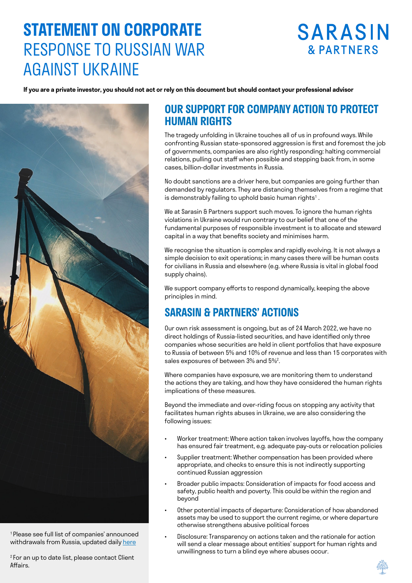# **STATEMENT ON CORPORATE**  RESPONSE TO RUSSIAN WAR AGAINST UKRAINE

# **SARASIN & PARTNERS**

**If you are a private investor, you should not act or rely on this document but should contact your professional advisor**



<sup>1</sup>Please see full list of companies' announced withdrawals from Russia, updated daily [here](https://som.yale.edu/story/2022/over-400-companies-have-withdrawn-russia-some-remain)

<sup>2</sup> For an up to date list, please contact Client Affairs.

## **OUR SUPPORT FOR COMPANY ACTION TO PROTECT HUMAN RIGHTS**

The tragedy unfolding in Ukraine touches all of us in profound ways. While confronting Russian state-sponsored aggression is first and foremost the job of governments, companies are also rightly responding: halting commercial relations, pulling out staff when possible and stepping back from, in some cases, billion-dollar investments in Russia.

No doubt sanctions are a driver here, but companies are going further than demanded by regulators. They are distancing themselves from a regime that is demonstrably failing to uphold basic human rights $^{\rm t}$  .

We at Sarasin & Partners support such moves. To ignore the human rights violations in Ukraine would run contrary to our belief that one of the fundamental purposes of responsible investment is to allocate and steward capital in a way that benefits society and minimises harm.

We recognise the situation is complex and rapidly evolving. It is not always a simple decision to exit operations; in many cases there will be human costs for civilians in Russia and elsewhere (e.g. where Russia is vital in global food supply chains).

We support company efforts to respond dynamically, keeping the above principles in mind.

## **SARASIN & PARTNERS' ACTIONS**

Our own risk assessment is ongoing, but as of 24 March 2022, we have no direct holdings of Russia-listed securities, and have identified only three companies whose securities are held in client portfolios that have exposure to Russia of between 5% and 10% of revenue and less than 15 corporates with sales exposures of between 3% and 5%2 .

Where companies have exposure, we are monitoring them to understand the actions they are taking, and how they have considered the human rights implications of these measures.

Beyond the immediate and over-riding focus on stopping any activity that facilitates human rights abuses in Ukraine, we are also considering the following issues:

- Worker treatment: Where action taken involves layoffs, how the company has ensured fair treatment, e.g. adequate pay-outs or relocation policies
- Supplier treatment: Whether compensation has been provided where appropriate, and checks to ensure this is not indirectly supporting continued Russian aggression
- Broader public impacts: Consideration of impacts for food access and safety, public health and poverty. This could be within the region and beyond
- Other potential impacts of departure: Consideration of how abandoned assets may be used to support the current regime, or where departure otherwise strengthens abusive political forces
- Disclosure: Transparency on actions taken and the rationale for action will send a clear message about entities' support for human rights and unwillingness to turn a blind eye where abuses occur.